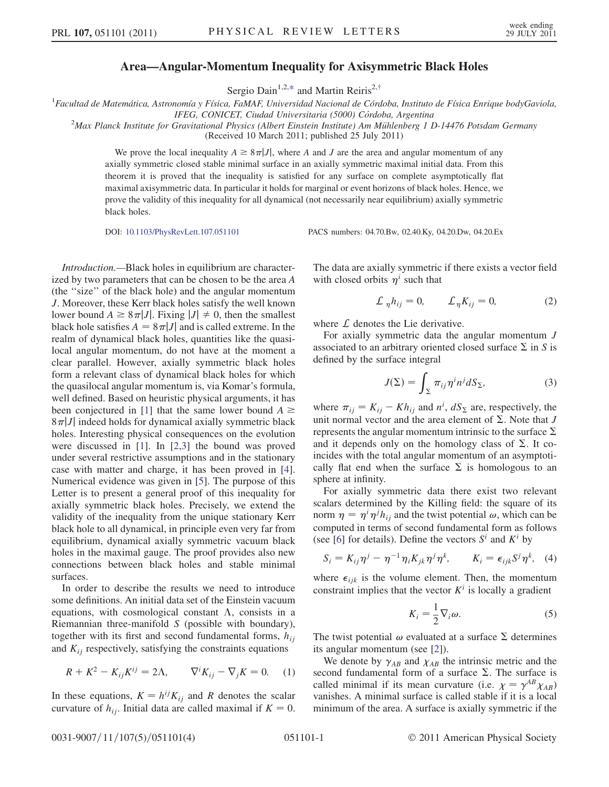## Area—Angular-Momentum Inequality for Axisymmetric Black Holes

Sergio Dain<sup>1,2,[\\*](#page-3-0)</sup> and Martin Reiris<sup>2,[†](#page-3-1)</sup>

<span id="page-0-1"></span><sup>1</sup>Facultad de Matemática, Astronomía y Física, FaMAF, Universidad Nacional de Córdoba, Instituto de Física Enrique bodyGaviola,

IFEG, CONICET, Ciudad Universitaria (5000) Córdoba, Argentina<br><sup>2</sup>Max Planck Institute for Gravitational Physics (Albert Einstein Institute) Am Mühlenberg 1 D-14476 Potsdam Germany

(Received 10 March 2011; published 25 July 2011)

We prove the local inequality  $A \geq 8\pi|J|$ , where A and J are the area and angular momentum of any axially symmetric closed stable minimal surface in an axially symmetric maximal initial data. From this theorem it is proved that the inequality is satisfied for any surface on complete asymptotically flat maximal axisymmetric data. In particular it holds for marginal or event horizons of black holes. Hence, we prove the validity of this inequality for all dynamical (not necessarily near equilibrium) axially symmetric black holes.

DOI: [10.1103/PhysRevLett.107.051101](http://dx.doi.org/10.1103/PhysRevLett.107.051101) PACS numbers: 04.70.Bw, 02.40.Ky, 04.20.Dw, 04.20.Ex

Introduction.—Black holes in equilibrium are characterized by two parameters that can be chosen to be the area A (the ''size'' of the black hole) and the angular momentum J. Moreover, these Kerr black holes satisfy the well known lower bound  $A \geq 8\pi |J|$ . Fixing  $|J| \neq 0$ , then the smallest black hole satisfies  $A = 8\pi |J|$  and is called extreme. In the realm of dynamical black holes, quantities like the quasilocal angular momentum, do not have at the moment a clear parallel. However, axially symmetric black holes form a relevant class of dynamical black holes for which the quasilocal angular momentum is, via Komar's formula, well defined. Based on heuristic physical arguments, it has been conjectured in [[1](#page-3-2)] that the same lower bound  $A \geq$  $8\pi|J|$  indeed holds for dynamical axially symmetric black holes. Interesting physical consequences on the evolution were discussed in [\[1\]](#page-3-2). In [[2,](#page-3-3)[3\]](#page-3-4) the bound was proved under several restrictive assumptions and in the stationary case with matter and charge, it has been proved in [[4\]](#page-3-5). Numerical evidence was given in [[5](#page-3-6)]. The purpose of this Letter is to present a general proof of this inequality for axially symmetric black holes. Precisely, we extend the validity of the inequality from the unique stationary Kerr black hole to all dynamical, in principle even very far from equilibrium, dynamical axially symmetric vacuum black holes in the maximal gauge. The proof provides also new connections between black holes and stable minimal surfaces.

In order to describe the results we need to introduce some definitions. An initial data set of the Einstein vacuum equations, with cosmological constant  $\Lambda$ , consists in a Riemannian three-manifold S (possible with boundary), together with its first and second fundamental forms,  $h_{ij}$ and  $K_{ij}$  respectively, satisfying the constraints equations

<span id="page-0-0"></span>
$$
R + K^2 - K_{ij} K^{ij} = 2\Lambda, \qquad \nabla^i K_{ij} - \nabla_j K = 0. \tag{1}
$$

In these equations,  $K = h^{ij}K_{ij}$  and R denotes the scalar curvature of  $h_{ij}$ . Initial data are called maximal if  $K = 0$ . The data are axially symmetric if there exists a vector field with closed orbits  $\eta^i$  such that

$$
\mathcal{L}_{\eta} h_{ij} = 0, \qquad \mathcal{L}_{\eta} K_{ij} = 0, \tag{2}
$$

where  $\mathcal L$  denotes the Lie derivative.

For axially symmetric data the angular momentum J associated to an arbitrary oriented closed surface  $\Sigma$  in S is defined by the surface integral

$$
J(\Sigma) = \int_{\Sigma} \pi_{ij} \eta^i n^j dS_{\Sigma}, \tag{3}
$$

where  $\pi_{ij} = K_{ij} - Kh_{ij}$  and  $n^i$ ,  $dS_{\Sigma}$  are, respectively, the unit normal vector and the area element of  $\Sigma$ . Note that J represents the angular momentum intrinsic to the surface  $\Sigma$ and it depends only on the homology class of  $\Sigma$ . It coincides with the total angular momentum of an asymptotically flat end when the surface  $\Sigma$  is homologous to an sphere at infinity.

For axially symmetric data there exist two relevant scalars determined by the Killing field: the square of its norm  $\eta = \eta^i \eta^j h_{ij}$  and the twist potential  $\omega$ , which can be<br>computed in terms of second fundamental form as follows computed in terms of second fundamental form as follows (see [\[6\]](#page-3-7) for details). Define the vectors  $S^i$  and  $K^i$  by

$$
S_i = K_{ij} \eta^j - \eta^{-1} \eta_i K_{jk} \eta^j \eta^k, \qquad K_i = \epsilon_{ijk} S^j \eta^k, \quad (4)
$$

where  $\epsilon_{ijk}$  is the volume element. Then, the momentum constraint implies that the vector  $K^i$  is locally a gradient

$$
K_i = \frac{1}{2} \nabla_i \omega.
$$
 (5)

The twist potential  $\omega$  evaluated at a surface  $\Sigma$  determines its angular momentum (see [[2\]](#page-3-3)).

We denote by  $\gamma_{AB}$  and  $\chi_{AB}$  the intrinsic metric and the second fundamental form of a surface  $\Sigma$ . The surface is called minimal if its mean curvature (i.e.  $\chi = \gamma^{AB} \chi_{AB}$ ) vanishes. A minimal surface is called stable if it is a local minimum of the area. A surface is axially symmetric if the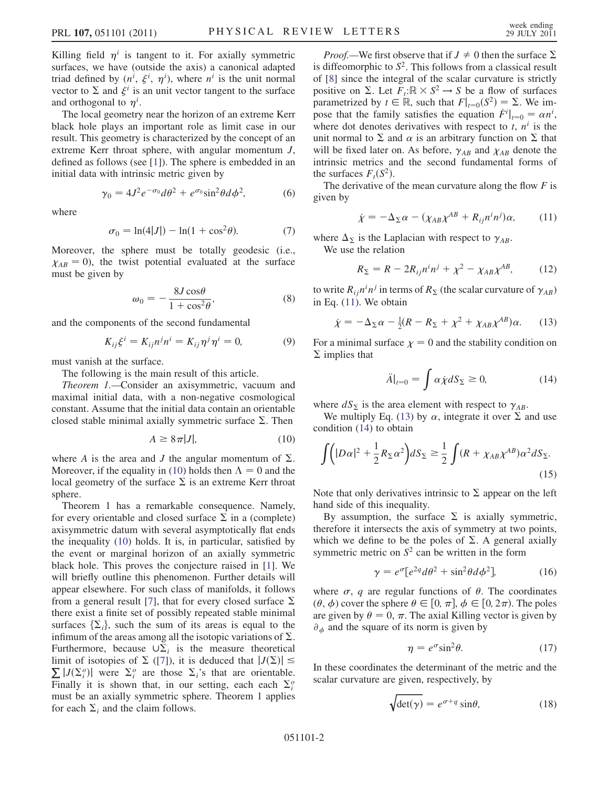Killing field  $\eta^i$  is tangent to it. For axially symmetric surfaces, we have (outside the axis) a canonical adapted triad defined by  $(n^i, \xi^i, \eta^i)$ , where  $n^i$  is the unit normal vector to  $\Sigma$  and  $\xi^i$  is an unit vector tangent to the surface and orthogonal to  $\eta^i$ .

The local geometry near the horizon of an extreme Kerr black hole plays an important role as limit case in our result. This geometry is characterized by the concept of an extreme Kerr throat sphere, with angular momentum  $J$ , defined as follows (see [[1](#page-3-2)]). The sphere is embedded in an initial data with intrinsic metric given by

$$
\gamma_0 = 4J^2 e^{-\sigma_0} d\theta^2 + e^{\sigma_0} \sin^2 \theta d\phi^2, \qquad (6)
$$

<span id="page-1-7"></span>where

$$
\sigma_0 = \ln(4|J|) - \ln(1 + \cos^2\theta). \tag{7}
$$

<span id="page-1-8"></span>Moreover, the sphere must be totally geodesic (i.e.,  $\chi_{AB} = 0$ , the twist potential evaluated at the surface must be given by

$$
\omega_0 = -\frac{8J\cos\theta}{1 + \cos^2\theta},\tag{8}
$$

and the components of the second fundamental

$$
K_{ij}\xi^i = K_{ij}n^j n^i = K_{ij}\eta^j \eta^i = 0,
$$
\n(9)

must vanish at the surface.

The following is the main result of this article.

Theorem 1.—Consider an axisymmetric, vacuum and maximal initial data, with a non-negative cosmological constant. Assume that the initial data contain an orientable closed stable minimal axially symmetric surface  $\Sigma$ . Then

$$
A \ge 8\pi|J|,\tag{10}
$$

<span id="page-1-0"></span>where A is the area and J the angular momentum of  $\Sigma$ . Moreover, if the equality in [\(10\)](#page-1-0) holds then  $\Lambda = 0$  and the local geometry of the surface  $\Sigma$  is an extreme Kerr throat sphere.

Theorem 1 has a remarkable consequence. Namely, for every orientable and closed surface  $\Sigma$  in a (complete) axisymmetric datum with several asymptotically flat ends the inequality [\(10\)](#page-1-0) holds. It is, in particular, satisfied by the event or marginal horizon of an axially symmetric black hole. This proves the conjecture raised in [[1](#page-3-2)]. We will briefly outline this phenomenon. Further details will appear elsewhere. For such class of manifolds, it follows from a general result [[7](#page-3-8)], that for every closed surface  $\Sigma$ there exist a finite set of possibly repeated stable minimal surfaces  $\{\Sigma_i\}$ , such the sum of its areas is equal to the infimum of the areas among all the isotonic variations of  $\Sigma$ . infimum of the areas among all the isotopic variations of  $\Sigma$ . Furthermore, because  $\overline{\mathsf{U}}\Sigma_i$  is the measure theoretical<br>limit of isotopies of  $\Sigma$  (171) it is deduced that  $|I(\Sigma)| \leq$ limit of isotopies of  $\Sigma$  ([[7](#page-3-8)]), it is deduced that  $|J(\Sigma \nabla | I(\Sigma e)|)$  were  $\Sigma e$  are those  $\Sigma e$  that are orientated  $\sum |J(\Sigma_i^o)|$  were  $\Sigma_i^o$  are those  $\Sigma_i$ 's that are orientable.<br>Finally it is shown that in our setting each each  $\Sigma_i^o$ Finally it is shown that, in our setting, each each  $\Sigma_i^o$ must be an axially symmetric sphere. Theorem 1 applies for each  $\Sigma_i$  and the claim follows.

*Proof.*—We first observe that if  $J \neq 0$  then the surface  $\Sigma$ is diffeomorphic to  $S^2$ . This follows from a classical result of [[8](#page-3-9)] since the integral of the scalar curvature is strictly positive on  $\Sigma$ . Let  $\overline{F}_t:\mathbb{R} \times S^2 \to S$  be a flow of surfaces<br>parametrized by  $t \in \mathbb{R}$  such that  $F|_{s=0}(S^2) = \Sigma$ . We imparametrized by  $t \in \mathbb{R}$ , such that  $F|_{t=0}(S^2) = \Sigma$ . We im-<br>nose that the family satisfies the equation  $\dot{F}^i|_{s=0} = \alpha n^i$ pose that the family satisfies the equation  $\dot{F}^i|_{t=0} = \alpha n^i$ ,<br>where dot denotes derivatives with respect to  $t$ ,  $n^i$  is the where dot denotes derivatives with respect to  $t$ ,  $n^{i}$  is the unit normal to  $\Sigma$  and  $\alpha$  is an arbitrary function on  $\Sigma$  that will be fixed later on. As before,  $\gamma_{AB}$  and  $\chi_{AB}$  denote the intrinsic metrics and the second fundamental forms of the surfaces  $F_t(S^2)$ .

<span id="page-1-1"></span>The derivative of the mean curvature along the flow  $F$  is given by

$$
\dot{\chi} = -\Delta_{\Sigma} \alpha - (\chi_{AB} \chi^{AB} + R_{ij} n^i n^j) \alpha, \qquad (11)
$$

where  $\Delta_{\Sigma}$  is the Laplacian with respect to  $\gamma_{AB}$ . We use the relation

$$
R_{\Sigma} = R - 2R_{ij}n^i n^j + \chi^2 - \chi_{AB}\chi^{AB}, \qquad (12)
$$

<span id="page-1-2"></span>to write  $R_{ij}n^i n^j$  in terms of  $R_{\Sigma}$  (the scalar curvature of  $\gamma_{AB}$ ) in Eq. ([11](#page-1-1)). We obtain

$$
\dot{\chi} = -\Delta_{\Sigma}\alpha - \frac{1}{2}(R - R_{\Sigma} + \chi^2 + \chi_{AB}\chi^{AB})\alpha. \tag{13}
$$

<span id="page-1-3"></span>For a minimal surface  $\chi = 0$  and the stability condition on  $\Sigma$  implies that

$$
\ddot{A}|_{t=0} = \int \alpha \dot{\chi} dS_{\Sigma} \ge 0, \tag{14}
$$

where  $dS_{\Sigma}$  is the area element with respect to  $\gamma_{AB}$ .

<span id="page-1-5"></span>We multiply Eq. [\(13\)](#page-1-2) by  $\alpha$ , integrate it over  $\sum_{n=1}^{\infty}$  and use condition [\(14\)](#page-1-3) to obtain

$$
\int (|D\alpha|^2 + \frac{1}{2}R_{\Sigma}\alpha^2) dS_{\Sigma} \ge \frac{1}{2} \int (R + \chi_{AB}\chi^{AB}) \alpha^2 dS_{\Sigma}.
$$
\n(15)

Note that only derivatives intrinsic to  $\Sigma$  appear on the left hand side of this inequality.

<span id="page-1-4"></span>By assumption, the surface  $\Sigma$  is axially symmetric, therefore it intersects the axis of symmetry at two points, which we define to be the poles of  $\Sigma$ . A general axially symmetric metric on  $S^2$  can be written in the form

$$
\gamma = e^{\sigma} [e^{2q} d\theta^2 + \sin^2 \theta d\phi^2], \qquad (16)
$$

<span id="page-1-9"></span>where  $\sigma$ , q are regular functions of  $\theta$ . The coordinates  $(\theta, \phi)$  cover the sphere  $\theta \in [0, \pi]$ ,  $\phi \in [0, 2\pi)$ . The poles are given by  $\theta = 0, \pi$ . The axial Killing vector is given by  $\partial_{\phi}$  and the square of its norm is given by

$$
\eta = e^{\sigma} \sin^2 \theta. \tag{17}
$$

<span id="page-1-6"></span>In these coordinates the determinant of the metric and the scalar curvature are given, respectively, by

$$
\sqrt{\det(\gamma)} = e^{\sigma + q} \sin \theta, \tag{18}
$$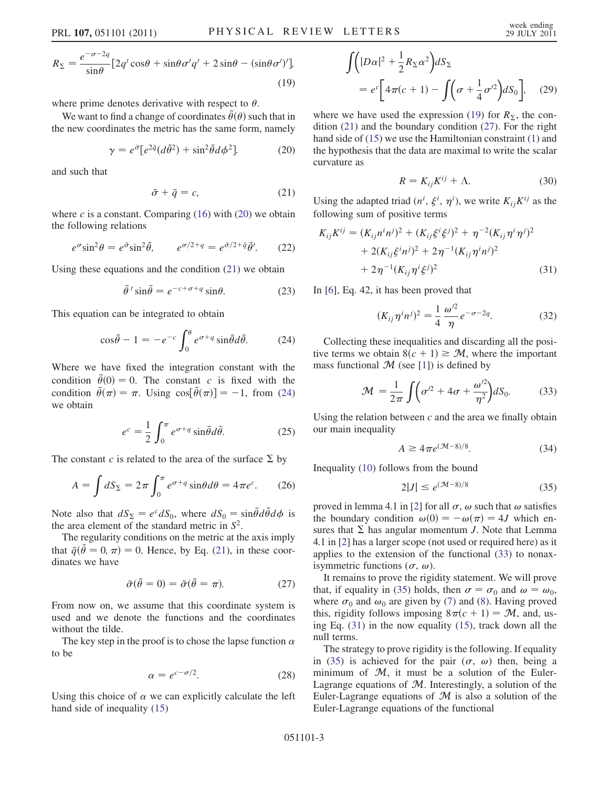$$
R_{\Sigma} = \frac{e^{-\sigma - 2q}}{\sin \theta} [2q' \cos \theta + \sin \theta \sigma' q' + 2 \sin \theta - (\sin \theta \sigma')'],
$$
\n(19)

where prime denotes derivative with respect to  $\theta$ .

<span id="page-2-0"></span>We want to find a change of coordinates  $\tilde{\theta}(\theta)$  such that in the new coordinates the metric has the same form, namely

$$
\gamma = e^{\tilde{\sigma}} \left[e^{2\tilde{q}} (d\tilde{\theta}^2) + \sin^2 \tilde{\theta} d\phi^2\right].
$$
 (20)

<span id="page-2-1"></span>and such that

$$
\tilde{\sigma} + \tilde{q} = c,\tag{21}
$$

where  $c$  is a constant. Comparing [\(16\)](#page-1-4) with [\(20\)](#page-2-0) we obtain the following relations

$$
e^{\sigma} \sin^2 \theta = e^{\tilde{\sigma}} \sin^2 \tilde{\theta}, \qquad e^{\sigma/2 + q} = e^{\tilde{\sigma}/2 + \tilde{q}} \tilde{\theta}'. \qquad (22)
$$

Using these equations and the condition ([21](#page-2-1)) we obtain

$$
\tilde{\theta}'\sin\tilde{\theta} = e^{-c+\sigma+q}\sin\theta.
$$
 (23)

<span id="page-2-2"></span>This equation can be integrated to obtain

$$
\cos\tilde{\theta} - 1 = -e^{-c} \int_0^{\theta} e^{\sigma + q} \sin\tilde{\theta} d\tilde{\theta}.
$$
 (24)

Where we have fixed the integration constant with the condition  $\tilde{\theta}(0) = 0$ . The constant c is fixed with the condition  $\tilde{\theta}(\pi) = \pi$ . Using  $\cos[\tilde{\theta}(\pi)] = -1$ , from [\(24\)](#page-2-2) we obtain

$$
e^c = \frac{1}{2} \int_0^{\pi} e^{\sigma + q} \sin \bar{\theta} d\bar{\theta}.
$$
 (25)

The constant c is related to the area of the surface  $\Sigma$  by

$$
A = \int dS_{\Sigma} = 2\pi \int_0^{\pi} e^{\sigma + q} \sin\theta d\theta = 4\pi e^c.
$$
 (26)

Note also that  $dS_{\Sigma} = e^{c} dS_{0}$ , where  $dS_{0} = \sin \theta d\theta d\phi$  is the area element of the standard metric in  $S^{2}$ the area element of the standard metric in  $S^2$ .

<span id="page-2-3"></span>The regularity conditions on the metric at the axis imply that  $\tilde{q}(\tilde{\theta}=0, \pi) = 0$ . Hence, by Eq. [\(21\)](#page-2-1), in these coordinates we have

$$
\tilde{\sigma}(\tilde{\theta} = 0) = \tilde{\sigma}(\tilde{\theta} = \pi).
$$
 (27)

From now on, we assume that this coordinate system is used and we denote the functions and the coordinates without the tilde.

The key step in the proof is to chose the lapse function  $\alpha$ to be

$$
\alpha = e^{c - \sigma/2}.\tag{28}
$$

Using this choice of  $\alpha$  we can explicitly calculate the left hand side of inequality [\(15\)](#page-1-5)

$$
\int (|D\alpha|^2 + \frac{1}{2}R_{\Sigma}\alpha^2) dS_{\Sigma}
$$
  
=  $e^c \left[4\pi(c+1) - \int (\sigma + \frac{1}{4}\sigma'^2) dS_0 \right],$  (29)

where we have used the expression [\(19\)](#page-1-6) for  $R_{\Sigma}$ , the condition [\(21\)](#page-2-1) and the boundary condition ([27](#page-2-3)). For the right hand side of ([15](#page-1-5)) we use the Hamiltonian constraint [\(1](#page-0-0)) and the hypothesis that the data are maximal to write the scalar curvature as

$$
R = K_{ij}K^{ij} + \Lambda.
$$
 (30)

Using the adapted triad  $(n^i, \xi^i, \eta^i)$ , we write  $K_{ij} K^{ij}$  as the following sum of positive terms

<span id="page-2-6"></span>
$$
K_{ij}K^{ij} = (K_{ij}n^in^j)^2 + (K_{ij}\xi^i\xi^j)^2 + \eta^{-2}(K_{ij}\eta^i\eta^j)^2
$$
  
+ 2(K\_{ij}\xi^in^j)^2 + 2\eta^{-1}(K\_{ij}\eta^in^j)^2  
+ 2\eta^{-1}(K\_{ij}\eta^i\xi^j)^2 (31)

In [\[6](#page-3-7)], Eq. 42, it has been proved that

$$
(K_{ij}\eta^i n^j)^2 = \frac{1}{4} \frac{\omega'^2}{\eta} e^{-\sigma - 2q}.
$$
 (32)

<span id="page-2-4"></span>Collecting these inequalities and discarding all the positive terms we obtain  $8(c + 1) \geq M$ , where the important mass functional  $M$  (see [\[1](#page-3-2)]) is defined by

$$
\mathcal{M} = \frac{1}{2\pi} \int \left( \sigma'^2 + 4\sigma + \frac{\omega'^2}{\eta^2} \right) dS_0.
$$
 (33)

Using the relation between  $c$  and the area we finally obtain our main inequality

$$
A \ge 4\pi e^{(\mathcal{M}-8)/8}.\tag{34}
$$

<span id="page-2-5"></span>Inequality [\(10\)](#page-1-0) follows from the bound

$$
2|J| \le e^{(\mathcal{M}-8)/8} \tag{35}
$$

proved in lemma 4.1 in [\[2](#page-3-3)] for all  $\sigma$ ,  $\omega$  such that  $\omega$  satisfies the boundary condition  $\omega(0) = -\omega(\pi) = 4J$  which en-<br>sures that  $\Sigma$  has anoular momentum L Note that Lemma sures that  $\Sigma$  has angular momentum J. Note that Lemma 4.1 in [[2\]](#page-3-3) has a larger scope (not used or required here) as it applies to the extension of the functional ([33](#page-2-4)) to nonaxisymmetric functions  $(\sigma, \omega)$ .

It remains to prove the rigidity statement. We will prove that, if equality in [\(35\)](#page-2-5) holds, then  $\sigma = \sigma_0$  and  $\omega = \omega_0$ , where  $\sigma_0$  and  $\omega_0$  are given by ([7](#page-1-7)) and [\(8](#page-1-8)). Having proved this, rigidity follows imposing  $8\pi(c + 1) = M$ , and, using Eq. [\(31\)](#page-2-6) in the now equality ([15](#page-1-5)), track down all the null terms.

The strategy to prove rigidity is the following. If equality in [\(35\)](#page-2-5) is achieved for the pair  $(\sigma, \omega)$  then, being a minimum of  $M$ , it must be a solution of the Euler-Lagrange equations of  $M$ . Interestingly, a solution of the Euler-Lagrange equations of  $M$  is also a solution of the Euler-Lagrange equations of the functional